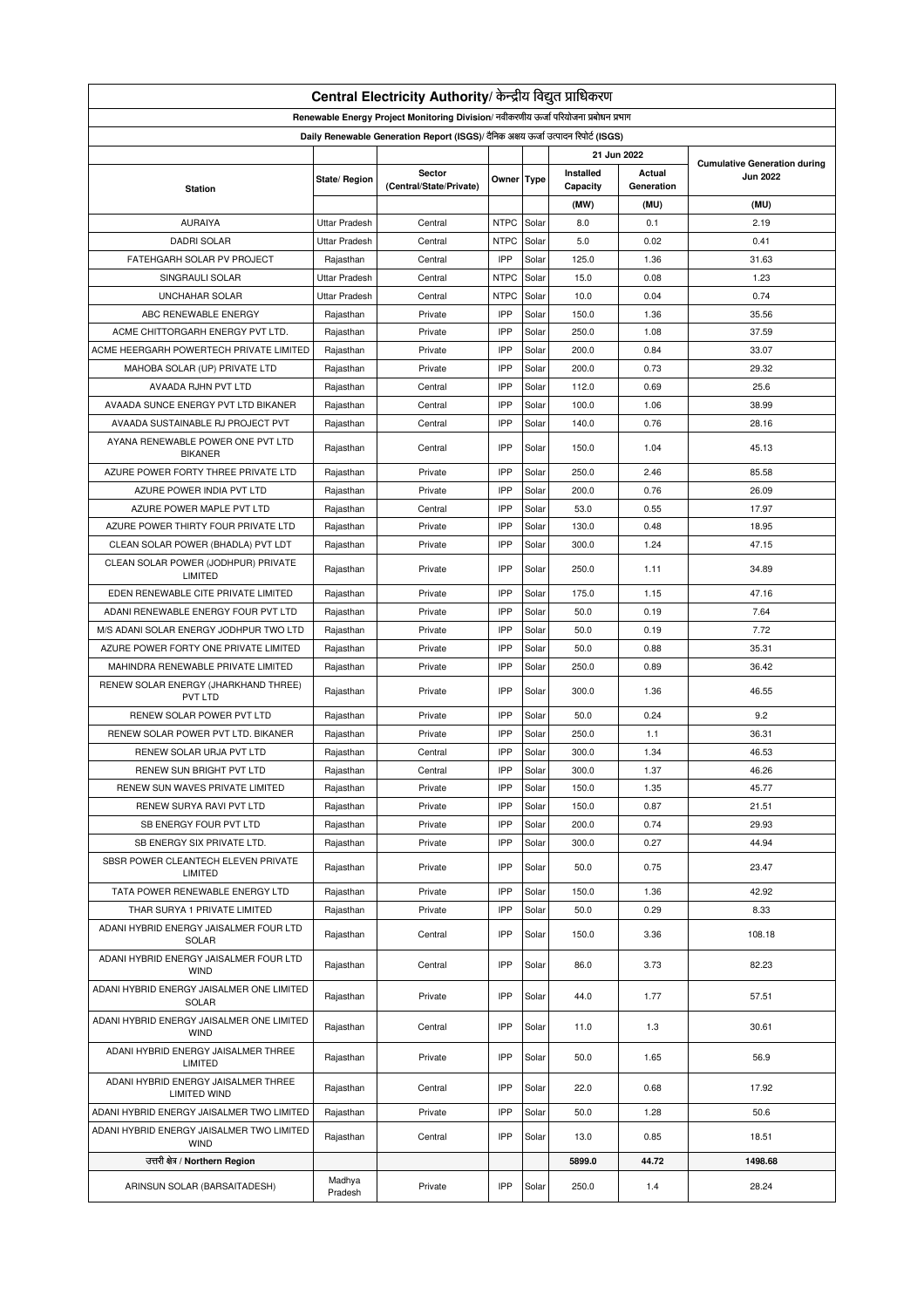| Central Electricity Authority/ केन्द्रीय विद्युत प्राधिकरण                           |                      |                         |             |       |           |            |                 |  |
|--------------------------------------------------------------------------------------|----------------------|-------------------------|-------------|-------|-----------|------------|-----------------|--|
| Renewable Energy Project Monitoring Division/ नवीकरणीय ऊर्जा परियोजना प्रबोधन प्रभाग |                      |                         |             |       |           |            |                 |  |
| Daily Renewable Generation Report (ISGS)/ दैनिक अक्षय ऊर्जा उत्पादन रिपोर्ट (ISGS)   |                      |                         |             |       |           |            |                 |  |
| 21 Jun 2022<br><b>Cumulative Generation during</b>                                   |                      |                         |             |       |           |            |                 |  |
|                                                                                      | State/ Region        | Sector                  | Owner Type  |       | Installed | Actual     | <b>Jun 2022</b> |  |
| <b>Station</b>                                                                       |                      | (Central/State/Private) |             |       | Capacity  | Generation |                 |  |
|                                                                                      |                      |                         |             |       | (MW)      | (MU)       | (MU)            |  |
| <b>AURAIYA</b>                                                                       | <b>Uttar Pradesh</b> | Central                 | <b>NTPC</b> | Solar | 8.0       | 0.1        | 2.19            |  |
| <b>DADRI SOLAR</b>                                                                   | <b>Uttar Pradesh</b> | Central                 | <b>NTPC</b> | Solar | 5.0       | 0.02       | 0.41            |  |
| FATEHGARH SOLAR PV PROJECT                                                           | Rajasthan            | Central                 | IPP         | Solar | 125.0     | 1.36       | 31.63           |  |
| SINGRAULI SOLAR                                                                      | <b>Uttar Pradesh</b> | Central                 | <b>NTPC</b> | Solar | 15.0      | 0.08       | 1.23            |  |
| <b>UNCHAHAR SOLAR</b>                                                                | <b>Uttar Pradesh</b> | Central                 | <b>NTPC</b> | Solar | 10.0      | 0.04       | 0.74            |  |
| ABC RENEWABLE ENERGY                                                                 | Rajasthan            | Private                 | IPP         | Solar | 150.0     | 1.36       | 35.56           |  |
| ACME CHITTORGARH ENERGY PVT LTD.                                                     | Rajasthan            | Private                 | IPP         | Solar | 250.0     | 1.08       | 37.59           |  |
| ACME HEERGARH POWERTECH PRIVATE LIMITED                                              | Rajasthan            | Private                 | IPP         | Solar | 200.0     | 0.84       | 33.07           |  |
| MAHOBA SOLAR (UP) PRIVATE LTD                                                        | Rajasthan            | Private                 | IPP         | Solar | 200.0     | 0.73       | 29.32           |  |
| AVAADA RJHN PVT LTD                                                                  | Rajasthan            | Central                 | IPP         | Solar | 112.0     | 0.69       | 25.6            |  |
| AVAADA SUNCE ENERGY PVT LTD BIKANER                                                  | Rajasthan            | Central                 | IPP         | Solar | 100.0     | 1.06       | 38.99           |  |
| AVAADA SUSTAINABLE RJ PROJECT PVT                                                    | Rajasthan            | Central                 | IPP         | Solar | 140.0     | 0.76       | 28.16           |  |
| AYANA RENEWABLE POWER ONE PVT LTD<br><b>BIKANER</b>                                  | Rajasthan            | Central                 | IPP         | Solar | 150.0     | 1.04       | 45.13           |  |
| AZURE POWER FORTY THREE PRIVATE LTD                                                  | Rajasthan            | Private                 | IPP         | Solar | 250.0     | 2.46       | 85.58           |  |
| AZURE POWER INDIA PVT LTD                                                            | Rajasthan            | Private                 | IPP         | Solar | 200.0     | 0.76       | 26.09           |  |
| AZURE POWER MAPLE PVT LTD                                                            | Rajasthan            | Central                 | IPP         | Solar | 53.0      | 0.55       | 17.97           |  |
| AZURE POWER THIRTY FOUR PRIVATE LTD                                                  | Rajasthan            | Private                 | IPP         | Solar | 130.0     | 0.48       | 18.95           |  |
| CLEAN SOLAR POWER (BHADLA) PVT LDT                                                   | Rajasthan            | Private                 | IPP         | Solar | 300.0     | 1.24       | 47.15           |  |
| CLEAN SOLAR POWER (JODHPUR) PRIVATE<br>LIMITED                                       | Rajasthan            | Private                 | IPP         | Solar | 250.0     | 1.11       | 34.89           |  |
| EDEN RENEWABLE CITE PRIVATE LIMITED                                                  | Rajasthan            | Private                 | IPP         | Solar | 175.0     | 1.15       | 47.16           |  |
| ADANI RENEWABLE ENERGY FOUR PVT LTD                                                  | Rajasthan            | Private                 | IPP         | Solar | 50.0      | 0.19       | 7.64            |  |
| M/S ADANI SOLAR ENERGY JODHPUR TWO LTD                                               | Rajasthan            | Private                 | IPP         | Solar | 50.0      | 0.19       | 7.72            |  |
| AZURE POWER FORTY ONE PRIVATE LIMITED                                                | Rajasthan            | Private                 | IPP         | Solar | 50.0      | 0.88       | 35.31           |  |
| MAHINDRA RENEWABLE PRIVATE LIMITED                                                   | Rajasthan            | Private                 | IPP         | Solar | 250.0     | 0.89       | 36.42           |  |
| RENEW SOLAR ENERGY (JHARKHAND THREE)<br>PVT LTD                                      | Rajasthan            | Private                 | IPP         | Solar | 300.0     | 1.36       | 46.55           |  |
| RENEW SOLAR POWER PVT LTD                                                            |                      |                         | IPP         |       |           | 0.24       |                 |  |
|                                                                                      | Rajasthan            | Private<br>Private      | IPP         | Solar | 50.0      |            | 9.2             |  |
| RENEW SOLAR POWER PVT LTD. BIKANER                                                   | Rajasthan            |                         |             | Solar | 250.0     | 1.1        | 36.31           |  |
| RENEW SOLAR URJA PVT LTD                                                             | Rajasthan            | Central                 | IPP         | Solar | 300.0     | 1.34       | 46.53           |  |
| RENEW SUN BRIGHT PVT LTD                                                             | Rajasthan            | Central                 | IPP         | Solar | 300.0     | 1.37       | 46.26           |  |
| RENEW SUN WAVES PRIVATE LIMITED                                                      | Rajasthan            | Private                 | IPP         | Solar | 150.0     | 1.35       | 45.77           |  |
| RENEW SURYA RAVI PVT LTD                                                             | Rajasthan            | Private                 | IPP         | Solar | 150.0     | 0.87       | 21.51           |  |
| SB ENERGY FOUR PVT LTD                                                               | Rajasthan            | Private                 | IPP         | Solar | 200.0     | 0.74       | 29.93           |  |
| SB ENERGY SIX PRIVATE LTD.                                                           | Rajasthan            | Private                 | IPP         | Solar | 300.0     | 0.27       | 44.94           |  |
| SBSR POWER CLEANTECH ELEVEN PRIVATE<br>LIMITED                                       | Rajasthan            | Private                 | IPP         | Solar | 50.0      | 0.75       | 23.47           |  |
| TATA POWER RENEWABLE ENERGY LTD                                                      | Rajasthan            | Private                 | IPP         | Solar | 150.0     | 1.36       | 42.92           |  |
| THAR SURYA 1 PRIVATE LIMITED                                                         | Rajasthan            | Private                 | IPP         | Solar | 50.0      | 0.29       | 8.33            |  |
| ADANI HYBRID ENERGY JAISALMER FOUR LTD<br>SOLAR                                      | Rajasthan            | Central                 | IPP         | Solar | 150.0     | 3.36       | 108.18          |  |
| ADANI HYBRID ENERGY JAISALMER FOUR LTD<br><b>WIND</b>                                | Rajasthan            | Central                 | IPP         | Solar | 86.0      | 3.73       | 82.23           |  |
| ADANI HYBRID ENERGY JAISALMER ONE LIMITED<br>SOLAR                                   | Rajasthan            | Private                 | IPP         | Solar | 44.0      | 1.77       | 57.51           |  |
| ADANI HYBRID ENERGY JAISALMER ONE LIMITED<br><b>WIND</b>                             | Rajasthan            | Central                 | IPP         | Solar | 11.0      | 1.3        | 30.61           |  |
| ADANI HYBRID ENERGY JAISALMER THREE<br>LIMITED                                       | Rajasthan            | Private                 | IPP         | Solar | 50.0      | 1.65       | 56.9            |  |
| ADANI HYBRID ENERGY JAISALMER THREE<br><b>LIMITED WIND</b>                           | Rajasthan            | Central                 | IPP         | Solar | 22.0      | 0.68       | 17.92           |  |
| ADANI HYBRID ENERGY JAISALMER TWO LIMITED                                            | Rajasthan            | Private                 | IPP         | Solar | 50.0      | 1.28       | 50.6            |  |
| ADANI HYBRID ENERGY JAISALMER TWO LIMITED<br><b>WIND</b>                             | Rajasthan            | Central                 | IPP         | Solar | 13.0      | 0.85       | 18.51           |  |
| उत्तरी क्षेत्र / Northern Region                                                     |                      |                         |             |       | 5899.0    | 44.72      | 1498.68         |  |
|                                                                                      | Madhya               |                         |             |       |           |            |                 |  |
| ARINSUN SOLAR (BARSAITADESH)                                                         | Pradesh              | Private                 | IPP         | Solar | 250.0     | 1.4        | 28.24           |  |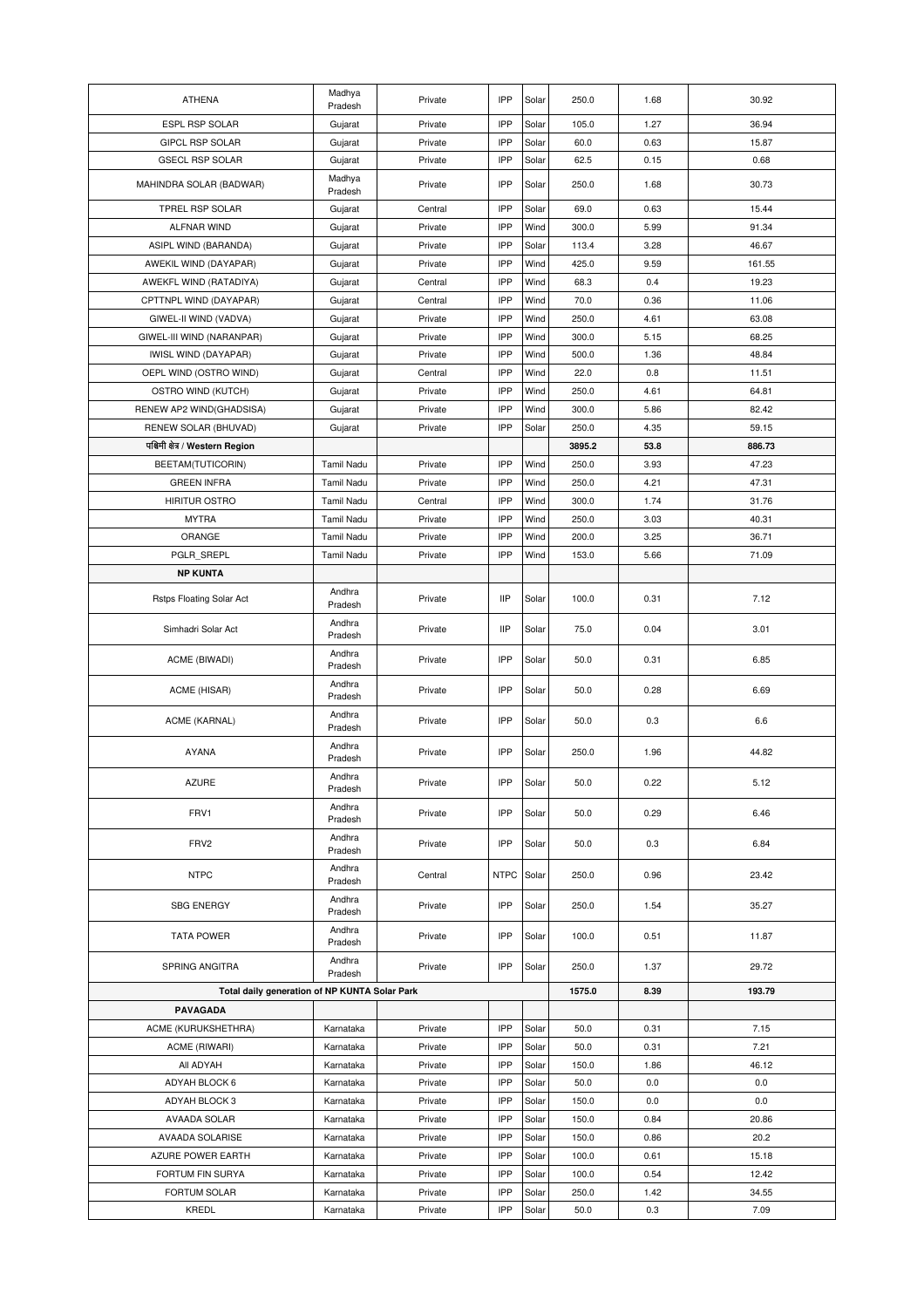| <b>ATHENA</b>                                 | Madhya             | Private | IPP         | Solar | 250.0  | 1.68 | 30.92  |
|-----------------------------------------------|--------------------|---------|-------------|-------|--------|------|--------|
| <b>ESPL RSP SOLAR</b>                         | Pradesh<br>Gujarat | Private | IPP         | Solar | 105.0  | 1.27 | 36.94  |
| <b>GIPCL RSP SOLAR</b>                        | Gujarat            | Private | IPP         | Solar | 60.0   | 0.63 | 15.87  |
| <b>GSECL RSP SOLAR</b>                        | Gujarat            | Private | IPP         | Solar | 62.5   | 0.15 | 0.68   |
|                                               | Madhya             |         |             |       |        |      |        |
| MAHINDRA SOLAR (BADWAR)                       | Pradesh            | Private | IPP         | Solar | 250.0  | 1.68 | 30.73  |
| TPREL RSP SOLAR                               | Gujarat            | Central | IPP         | Solar | 69.0   | 0.63 | 15.44  |
| ALFNAR WIND                                   | Gujarat            | Private | IPP         | Wind  | 300.0  | 5.99 | 91.34  |
| ASIPL WIND (BARANDA)                          | Gujarat            | Private | IPP         | Solar | 113.4  | 3.28 | 46.67  |
| AWEKIL WIND (DAYAPAR)                         | Gujarat            | Private | IPP         | Wind  | 425.0  | 9.59 | 161.55 |
| AWEKFL WIND (RATADIYA)                        | Gujarat            | Central | IPP         | Wind  | 68.3   | 0.4  | 19.23  |
| CPTTNPL WIND (DAYAPAR)                        | Gujarat            | Central | IPP         | Wind  | 70.0   | 0.36 | 11.06  |
| GIWEL-II WIND (VADVA)                         | Gujarat            | Private | IPP         | Wind  | 250.0  | 4.61 | 63.08  |
| GIWEL-III WIND (NARANPAR)                     | Gujarat            | Private | IPP         | Wind  | 300.0  | 5.15 | 68.25  |
| IWISL WIND (DAYAPAR)                          | Gujarat            | Private | IPP         | Wind  | 500.0  | 1.36 | 48.84  |
| OEPL WIND (OSTRO WIND)                        | Gujarat            | Central | IPP         | Wind  | 22.0   | 0.8  | 11.51  |
| OSTRO WIND (KUTCH)                            | Gujarat            | Private | IPP         | Wind  | 250.0  | 4.61 | 64.81  |
|                                               |                    | Private | IPP         | Wind  | 300.0  | 5.86 | 82.42  |
| RENEW AP2 WIND(GHADSISA)                      | Gujarat            |         |             |       |        |      |        |
| RENEW SOLAR (BHUVAD)                          | Gujarat            | Private | IPP         | Solar | 250.0  | 4.35 | 59.15  |
| पश्चिमी क्षेत्र / Western Region              |                    |         |             |       | 3895.2 | 53.8 | 886.73 |
| BEETAM(TUTICORIN)                             | <b>Tamil Nadu</b>  | Private | IPP         | Wind  | 250.0  | 3.93 | 47.23  |
| <b>GREEN INFRA</b>                            | <b>Tamil Nadu</b>  | Private | IPP         | Wind  | 250.0  | 4.21 | 47.31  |
| <b>HIRITUR OSTRO</b>                          | <b>Tamil Nadu</b>  | Central | IPP         | Wind  | 300.0  | 1.74 | 31.76  |
| <b>MYTRA</b>                                  | Tamil Nadu         | Private | IPP         | Wind  | 250.0  | 3.03 | 40.31  |
| ORANGE                                        | Tamil Nadu         | Private | IPP         | Wind  | 200.0  | 3.25 | 36.71  |
| PGLR_SREPL                                    | <b>Tamil Nadu</b>  | Private | IPP         | Wind  | 153.0  | 5.66 | 71.09  |
| <b>NP KUNTA</b>                               |                    |         |             |       |        |      |        |
| Rstps Floating Solar Act                      | Andhra<br>Pradesh  | Private | <b>IIP</b>  | Solar | 100.0  | 0.31 | 7.12   |
| Simhadri Solar Act                            | Andhra<br>Pradesh  | Private | <b>IIP</b>  | Solar | 75.0   | 0.04 | 3.01   |
| ACME (BIWADI)                                 | Andhra<br>Pradesh  | Private | IPP         | Solar | 50.0   | 0.31 | 6.85   |
| ACME (HISAR)                                  | Andhra<br>Pradesh  | Private | IPP         | Solar | 50.0   | 0.28 | 6.69   |
| ACME (KARNAL)                                 | Andhra<br>Pradesh  | Private | IPP         | Solar | 50.0   | 0.3  | 6.6    |
| <b>AYANA</b>                                  | Andhra<br>Pradesh  | Private | IPP         | Solar | 250.0  | 1.96 | 44.82  |
| <b>AZURE</b>                                  | Andhra<br>Pradesh  | Private | IPP         | Solar | 50.0   | 0.22 | 5.12   |
| FRV1                                          | Andhra<br>Pradesh  | Private | IPP         | Solar | 50.0   | 0.29 | 6.46   |
| FRV2                                          | Andhra<br>Pradesh  | Private | IPP         | Solar | 50.0   | 0.3  | 6.84   |
| <b>NTPC</b>                                   | Andhra<br>Pradesh  | Central | <b>NTPC</b> | Solar | 250.0  | 0.96 | 23.42  |
| <b>SBG ENERGY</b>                             | Andhra<br>Pradesh  | Private | IPP         | Solar | 250.0  | 1.54 | 35.27  |
| <b>TATA POWER</b>                             | Andhra<br>Pradesh  | Private | IPP         | Solar | 100.0  | 0.51 | 11.87  |
| SPRING ANGITRA                                | Andhra<br>Pradesh  | Private | IPP         | Solar | 250.0  | 1.37 | 29.72  |
| Total daily generation of NP KUNTA Solar Park |                    |         |             |       | 1575.0 | 8.39 | 193.79 |
| PAVAGADA                                      |                    |         |             |       |        |      |        |
| ACME (KURUKSHETHRA)                           | Karnataka          | Private | IPP         | Solar | 50.0   | 0.31 | 7.15   |
| ACME (RIWARI)                                 | Karnataka          | Private | IPP         | Solar | 50.0   | 0.31 | 7.21   |
| All ADYAH                                     | Karnataka          | Private | IPP         | Solar | 150.0  | 1.86 | 46.12  |
| ADYAH BLOCK 6                                 | Karnataka          | Private | IPP         | Solar | 50.0   | 0.0  | 0.0    |
| ADYAH BLOCK 3                                 | Karnataka          | Private | IPP         | Solar | 150.0  | 0.0  | 0.0    |
| AVAADA SOLAR                                  | Karnataka          | Private | IPP         | Solar | 150.0  | 0.84 | 20.86  |
| <b>AVAADA SOLARISE</b>                        | Karnataka          | Private | IPP         | Solar | 150.0  | 0.86 | 20.2   |
| AZURE POWER EARTH                             | Karnataka          | Private | IPP         | Solar | 100.0  | 0.61 | 15.18  |
|                                               |                    |         | IPP         |       |        |      | 12.42  |
| FORTUM FIN SURYA                              | Karnataka          | Private |             | Solar | 100.0  | 0.54 |        |
| FORTUM SOLAR                                  | Karnataka          | Private | IPP         | Solar | 250.0  | 1.42 | 34.55  |
| KREDL                                         | Karnataka          | Private | IPP         | Solar | 50.0   | 0.3  | 7.09   |